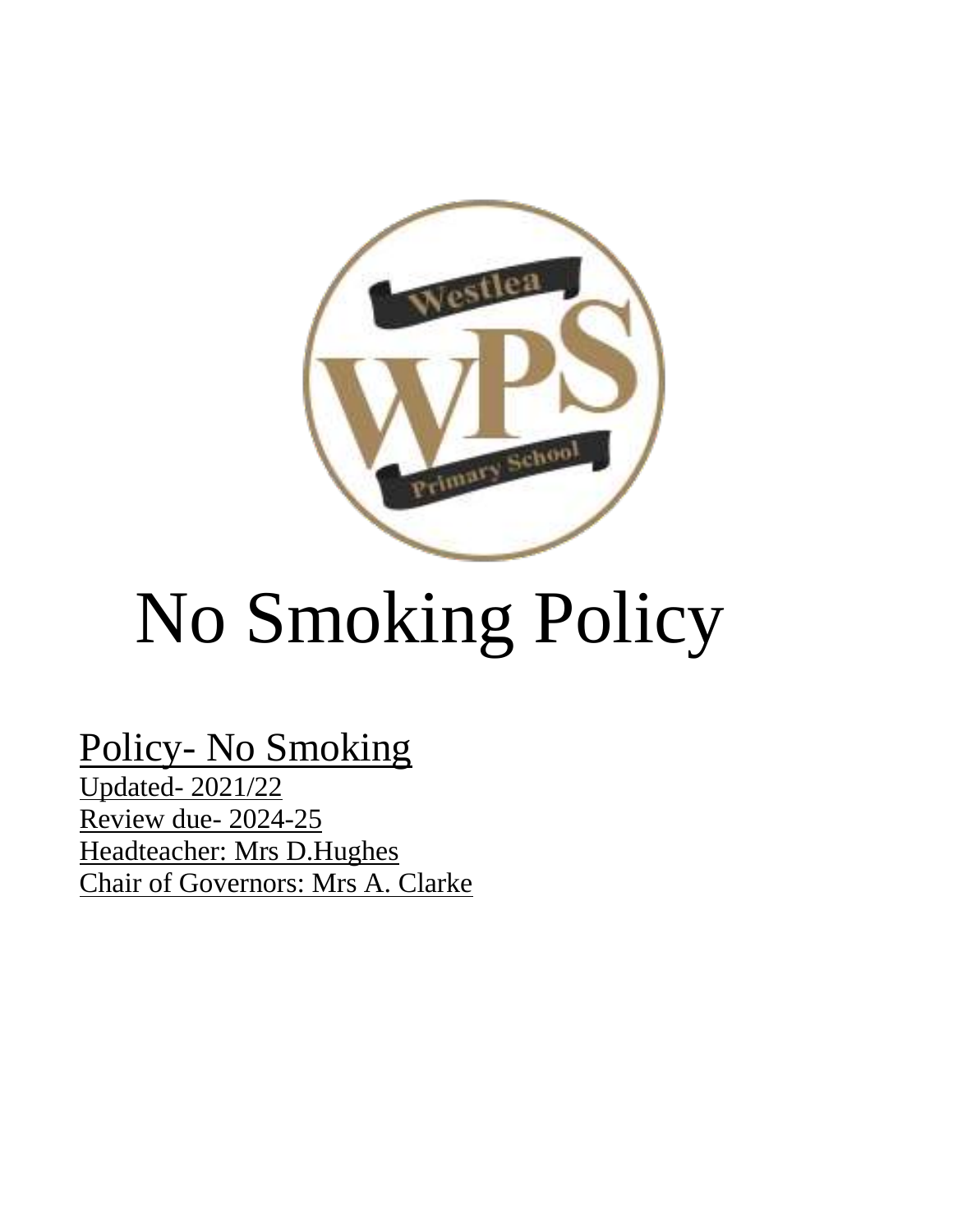

# No Smoking Policy

Policy- No Smoking Updated- 2021/22 Review due- 2024-25 Headteacher: Mrs D.Hughes Chair of Governors: Mrs A. Clarke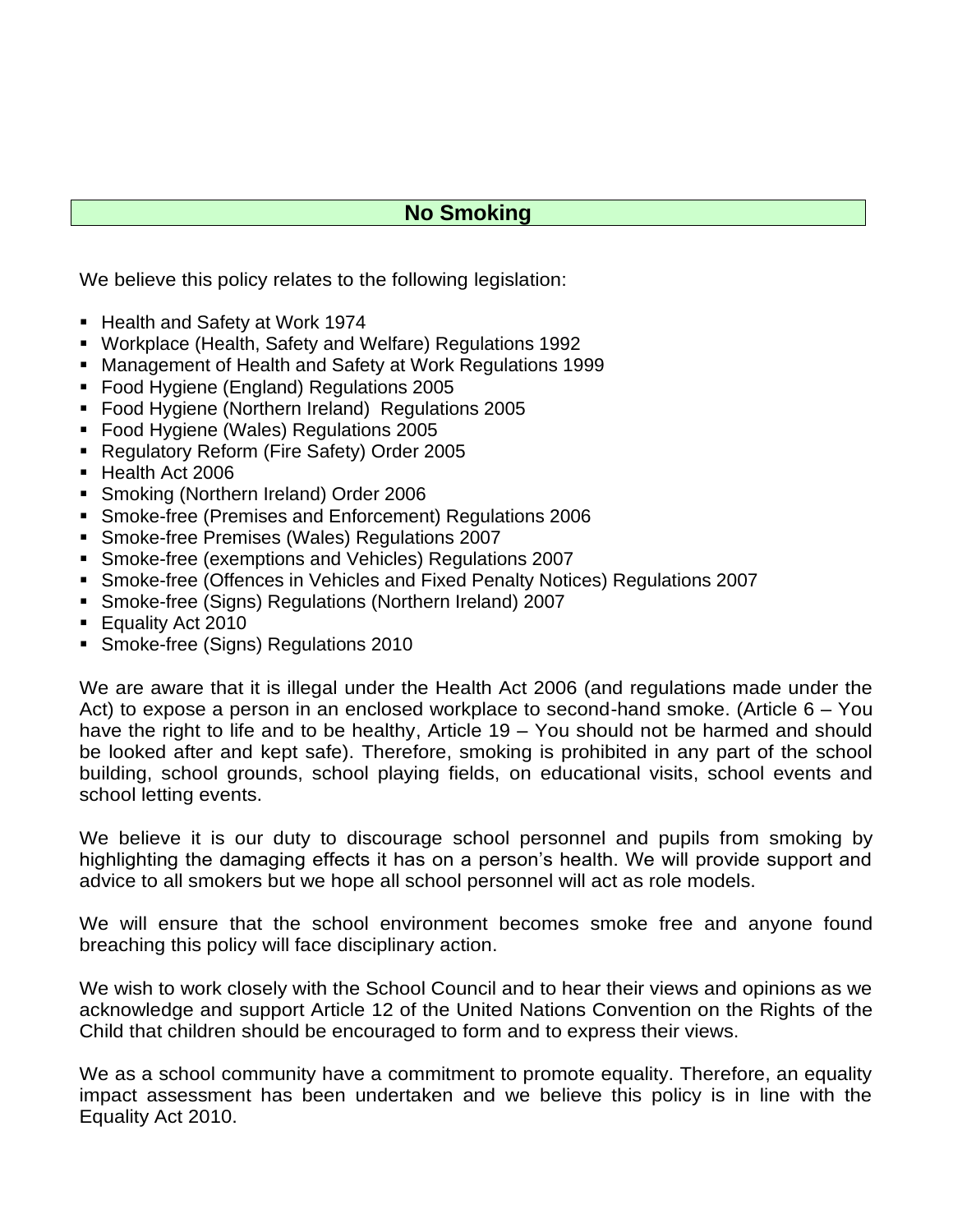# **No Smoking**

We believe this policy relates to the following legislation:

- Health and Safety at Work 1974
- Workplace (Health, Safety and Welfare) Regulations 1992
- Management of Health and Safety at Work Regulations 1999
- Food Hygiene (England) Regulations 2005
- Food Hygiene (Northern Ireland) Regulations 2005
- Food Hygiene (Wales) Regulations 2005
- Regulatory Reform (Fire Safety) Order 2005
- Health Act 2006
- Smoking (Northern Ireland) Order 2006
- Smoke-free (Premises and Enforcement) Regulations 2006
- Smoke-free Premises (Wales) Regulations 2007
- Smoke-free (exemptions and Vehicles) Regulations 2007
- Smoke-free (Offences in Vehicles and Fixed Penalty Notices) Regulations 2007
- Smoke-free (Signs) Regulations (Northern Ireland) 2007
- Equality Act 2010
- **· Smoke-free (Signs) Regulations 2010**

We are aware that it is illegal under the Health Act 2006 (and regulations made under the Act) to expose a person in an enclosed workplace to second-hand smoke. (Article 6 – You have the right to life and to be healthy, Article 19 – You should not be harmed and should be looked after and kept safe). Therefore, smoking is prohibited in any part of the school building, school grounds, school playing fields, on educational visits, school events and school letting events.

We believe it is our duty to discourage school personnel and pupils from smoking by highlighting the damaging effects it has on a person's health. We will provide support and advice to all smokers but we hope all school personnel will act as role models.

We will ensure that the school environment becomes smoke free and anyone found breaching this policy will face disciplinary action.

We wish to work closely with the School Council and to hear their views and opinions as we acknowledge and support Article 12 of the United Nations Convention on the Rights of the Child that children should be encouraged to form and to express their views.

We as a school community have a commitment to promote equality. Therefore, an equality impact assessment has been undertaken and we believe this policy is in line with the Equality Act 2010.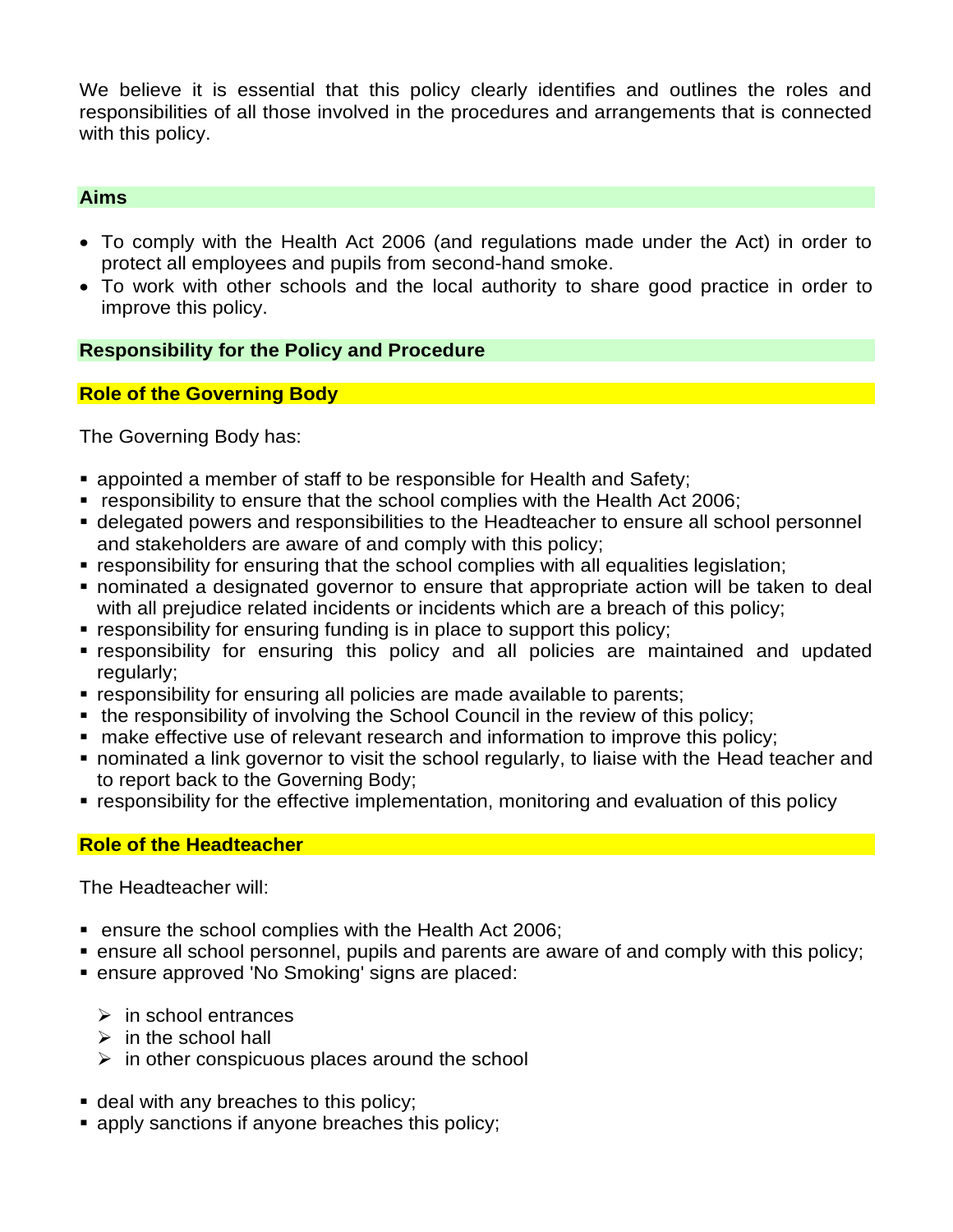We believe it is essential that this policy clearly identifies and outlines the roles and responsibilities of all those involved in the procedures and arrangements that is connected with this policy.

### **Aims**

- To comply with the Health Act 2006 (and regulations made under the Act) in order to protect all employees and pupils from second-hand smoke.
- To work with other schools and the local authority to share good practice in order to improve this policy.

## **Responsibility for the Policy and Procedure**

## **Role of the Governing Body**

The Governing Body has:

- appointed a member of staff to be responsible for Health and Safety;
- responsibility to ensure that the school complies with the Health Act 2006;
- **delegated powers and responsibilities to the Headteacher to ensure all school personnel** and stakeholders are aware of and comply with this policy;
- **EX** responsibility for ensuring that the school complies with all equalities legislation;
- nominated a designated governor to ensure that appropriate action will be taken to deal with all prejudice related incidents or incidents which are a breach of this policy;
- responsibility for ensuring funding is in place to support this policy;
- **Example 1** responsibility for ensuring this policy and all policies are maintained and updated regularly;
- **EX FESPONSIBILITY for ensuring all policies are made available to parents;**
- the responsibility of involving the School Council in the review of this policy;
- make effective use of relevant research and information to improve this policy;
- nominated a link governor to visit the school regularly, to liaise with the Head teacher and to report back to the Governing Body;
- responsibility for the effective implementation, monitoring and evaluation of this policy

### **Role of the Headteacher**

The Headteacher will:

- ensure the school complies with the Health Act 2006;
- ensure all school personnel, pupils and parents are aware of and comply with this policy;
- ensure approved 'No Smoking' signs are placed:
	- $\triangleright$  in school entrances
	- $\triangleright$  in the school hall
	- $\triangleright$  in other conspicuous places around the school
- **deal with any breaches to this policy;**
- **E** apply sanctions if anyone breaches this policy;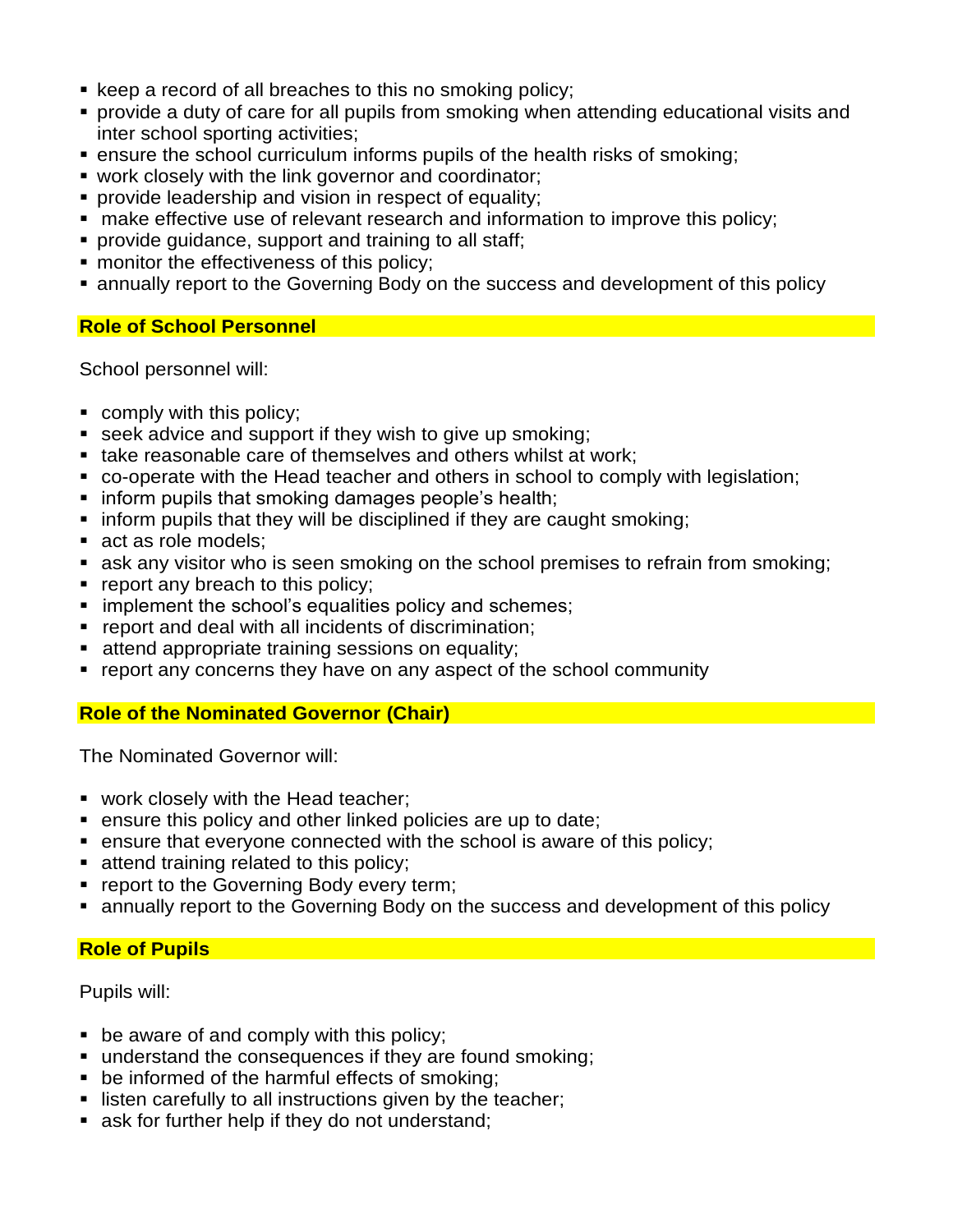- keep a record of all breaches to this no smoking policy;
- **•** provide a duty of care for all pupils from smoking when attending educational visits and inter school sporting activities;
- ensure the school curriculum informs pupils of the health risks of smoking;
- **work closely with the link governor and coordinator;**
- **•** provide leadership and vision in respect of equality;
- make effective use of relevant research and information to improve this policy;
- **provide quidance, support and training to all staff:**
- **monitor the effectiveness of this policy;**
- annually report to the Governing Body on the success and development of this policy

# **Role of School Personnel**

School personnel will:

- comply with this policy;
- seek advice and support if they wish to give up smoking;
- take reasonable care of themselves and others whilst at work:
- co-operate with the Head teacher and others in school to comply with legislation;
- inform pupils that smoking damages people's health;
- **.** inform pupils that they will be disciplined if they are caught smoking;
- act as role models;
- ask any visitor who is seen smoking on the school premises to refrain from smoking;
- report any breach to this policy;
- **E** implement the school's equalities policy and schemes;
- report and deal with all incidents of discrimination;
- attend appropriate training sessions on equality;
- report any concerns they have on any aspect of the school community

# **Role of the Nominated Governor (Chair)**

The Nominated Governor will:

- work closely with the Head teacher;
- ensure this policy and other linked policies are up to date;
- ensure that everyone connected with the school is aware of this policy;
- attend training related to this policy;
- **report to the Governing Body every term;**
- annually report to the Governing Body on the success and development of this policy

# **Role of Pupils**

Pupils will:

- be aware of and comply with this policy;
- understand the consequences if they are found smoking;
- be informed of the harmful effects of smoking;
- **EXECT** listen carefully to all instructions given by the teacher;
- ask for further help if they do not understand;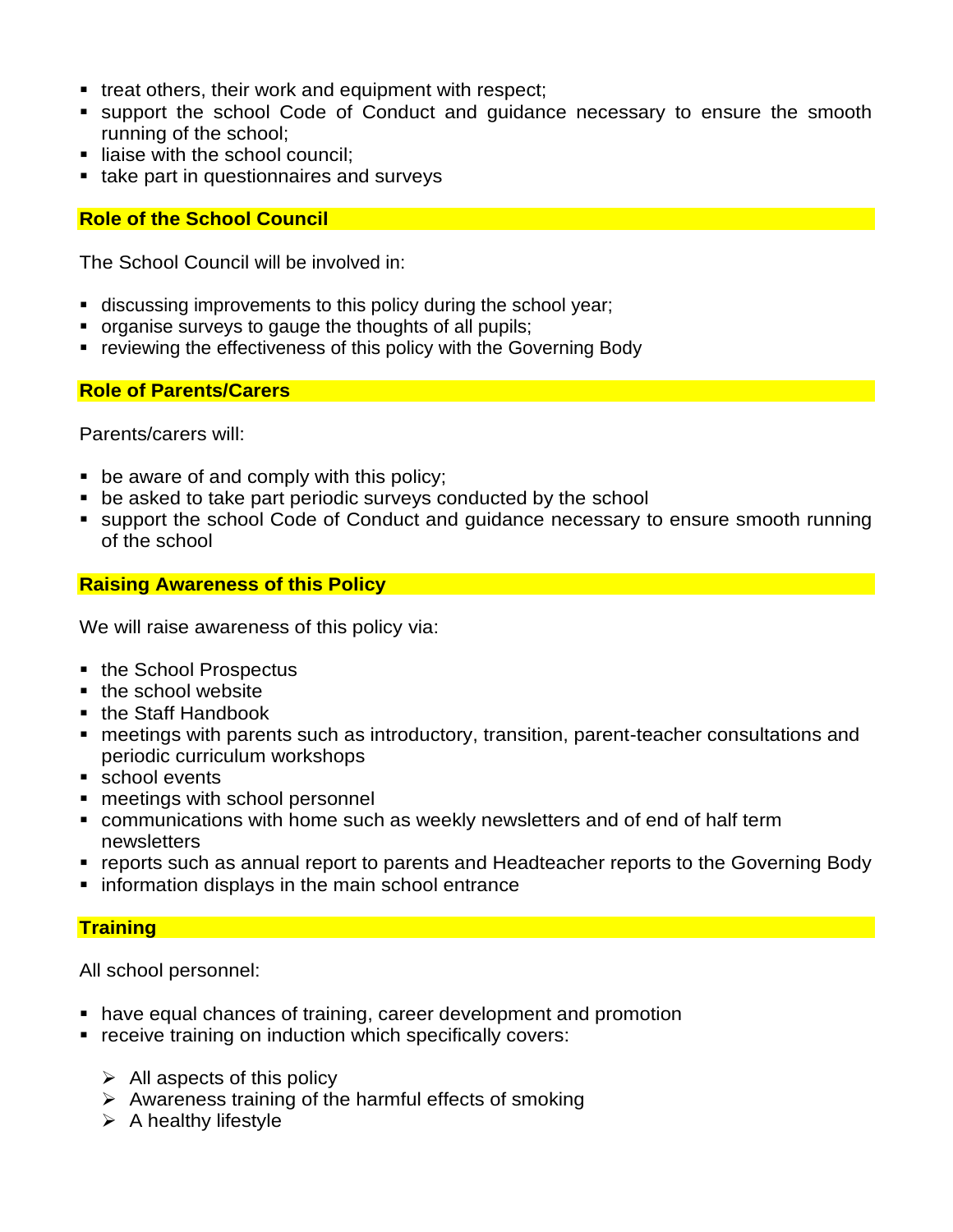- treat others, their work and equipment with respect;
- support the school Code of Conduct and quidance necessary to ensure the smooth running of the school;
- **E** liaise with the school council;
- take part in questionnaires and surveys

## **Role of the School Council**

The School Council will be involved in:

- discussing improvements to this policy during the school year;
- organise surveys to gauge the thoughts of all pupils;
- reviewing the effectiveness of this policy with the Governing Body

### **Role of Parents/Carers**

Parents/carers will:

- $\blacksquare$  be aware of and comply with this policy;
- be asked to take part periodic surveys conducted by the school
- support the school Code of Conduct and guidance necessary to ensure smooth running of the school

### **Raising Awareness of this Policy**

We will raise awareness of this policy via:

- the School Prospectus
- the school website
- the Staff Handbook
- meetings with parents such as introductory, transition, parent-teacher consultations and periodic curriculum workshops
- school events
- meetings with school personnel
- communications with home such as weekly newsletters and of end of half term newsletters
- reports such as annual report to parents and Headteacher reports to the Governing Body
- **.** information displays in the main school entrance

# **Training**

All school personnel:

- have equal chances of training, career development and promotion
- **EXECT** receive training on induction which specifically covers:
	- $\triangleright$  All aspects of this policy
	- $\triangleright$  Awareness training of the harmful effects of smoking
	- $\triangleright$  A healthy lifestyle